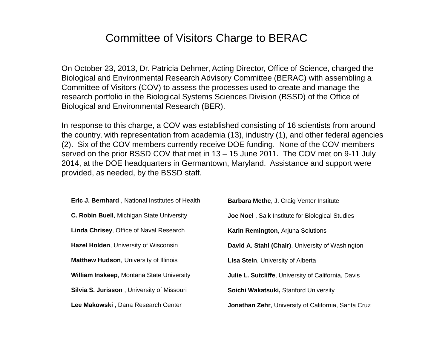# Committee of Visitors Charge to BERAC

On October 23, 2013, Dr. Patricia Dehmer, Acting Director, Office of Science, charged the Biological and Environmental Research Advisory Committee (BERAC) with assembling a Committee of Visitors (COV) to assess the processes used to create and manage the research portfolio in the Biological Systems Sciences Division (BSSD) of the Office of Biological and Environmental Research (BER).

In response to this charge, a COV was established consisting of 16 scientists from around the country, with representation from academia (13), industry (1), and other federal agencies (2). Six of the COV members currently receive DOE funding. None of the COV members served on the prior BSSD COV that met in 13 – 15 June 2011. The COV met on 9-11 July 2014, at the DOE headquarters in Germantown, Maryland. Assistance and support were provided, as needed, by the BSSD staff.

| <b>Eric J. Bernhard</b> , National Institutes of Health | <b>Barbara Methe, J. Craig Venter Institute</b>            |
|---------------------------------------------------------|------------------------------------------------------------|
| C. Robin Buell, Michigan State University               | <b>Joe Noel</b> , Salk Institute for Biological Studies    |
| Linda Chrisey, Office of Naval Research                 | Karin Remington, Arjuna Solutions                          |
| <b>Hazel Holden, University of Wisconsin</b>            | David A. Stahl (Chair), University of Washington           |
| <b>Matthew Hudson, University of Illinois</b>           | <b>Lisa Stein, University of Alberta</b>                   |
| <b>William Inskeep, Montana State University</b>        | <b>Julie L. Sutcliffe, University of California, Davis</b> |
| <b>Silvia S. Jurisson</b> , University of Missouri      | Soichi Wakatsuki, Stanford University                      |
| Lee Makowski, Dana Research Center                      | Jonathan Zehr, University of California, Santa Cruz        |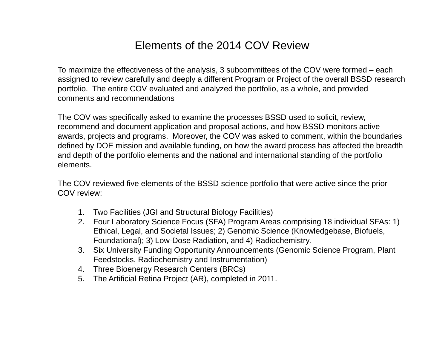# Elements of the 2014 COV Review

To maximize the effectiveness of the analysis, 3 subcommittees of the COV were formed – each assigned to review carefully and deeply a different Program or Project of the overall BSSD research portfolio. The entire COV evaluated and analyzed the portfolio, as a whole, and provided comments and recommendations

The COV was specifically asked to examine the processes BSSD used to solicit, review, recommend and document application and proposal actions, and how BSSD monitors active awards, projects and programs. Moreover, the COV was asked to comment, within the boundaries defined by DOE mission and available funding, on how the award process has affected the breadth and depth of the portfolio elements and the national and international standing of the portfolio elements.

The COV reviewed five elements of the BSSD science portfolio that were active since the prior COV review:

- 1. Two Facilities (JGI and Structural Biology Facilities)
- 2. Four Laboratory Science Focus (SFA) Program Areas comprising 18 individual SFAs: 1) Ethical, Legal, and Societal Issues; 2) Genomic Science (Knowledgebase, Biofuels, Foundational); 3) Low-Dose Radiation, and 4) Radiochemistry.
- 3. Six University Funding Opportunity Announcements (Genomic Science Program, Plant Feedstocks, Radiochemistry and Instrumentation)
- 4. Three Bioenergy Research Centers (BRCs)
- 5. The Artificial Retina Project (AR), completed in 2011.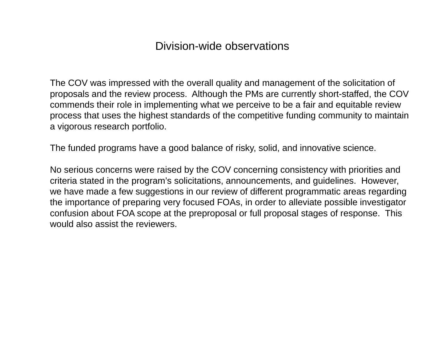The COV was impressed with the overall quality and management of the solicitation of proposals and the review process. Although the PMs are currently short-staffed, the COV commends their role in implementing what we perceive to be a fair and equitable review process that uses the highest standards of the competitive funding community to maintain a vigorous research portfolio.

The funded programs have a good balance of risky, solid, and innovative science.

No serious concerns were raised by the COV concerning consistency with priorities and criteria stated in the program's solicitations, announcements, and guidelines. However, we have made a few suggestions in our review of different programmatic areas regarding the importance of preparing very focused FOAs, in order to alleviate possible investigator confusion about FOA scope at the preproposal or full proposal stages of response. This would also assist the reviewers.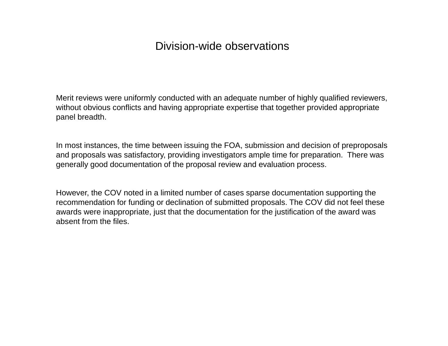Merit reviews were uniformly conducted with an adequate number of highly qualified reviewers, without obvious conflicts and having appropriate expertise that together provided appropriate panel breadth.

In most instances, the time between issuing the FOA, submission and decision of preproposals and proposals was satisfactory, providing investigators ample time for preparation. There was generally good documentation of the proposal review and evaluation process.

However, the COV noted in a limited number of cases sparse documentation supporting the recommendation for funding or declination of submitted proposals. The COV did not feel these awards were inappropriate, just that the documentation for the justification of the award was absent from the files.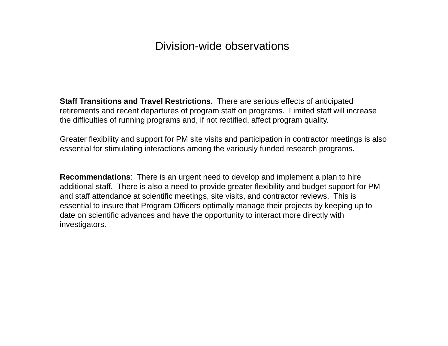**Staff Transitions and Travel Restrictions.** There are serious effects of anticipated retirements and recent departures of program staff on programs. Limited staff will increase the difficulties of running programs and, if not rectified, affect program quality.

Greater flexibility and support for PM site visits and participation in contractor meetings is also essential for stimulating interactions among the variously funded research programs.

**Recommendations**: There is an urgent need to develop and implement a plan to hire additional staff. There is also a need to provide greater flexibility and budget support for PM and staff attendance at scientific meetings, site visits, and contractor reviews. This is essential to insure that Program Officers optimally manage their projects by keeping up to date on scientific advances and have the opportunity to interact more directly with investigators.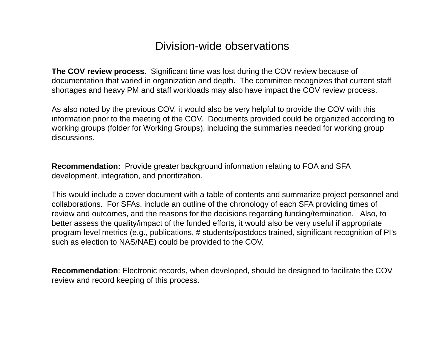**The COV review process.** Significant time was lost during the COV review because of documentation that varied in organization and depth. The committee recognizes that current staff shortages and heavy PM and staff workloads may also have impact the COV review process.

As also noted by the previous COV, it would also be very helpful to provide the COV with this information prior to the meeting of the COV. Documents provided could be organized according to working groups (folder for Working Groups), including the summaries needed for working group discussions.

**Recommendation:** Provide greater background information relating to FOA and SFA development, integration, and prioritization.

This would include a cover document with a table of contents and summarize project personnel and collaborations. For SFAs, include an outline of the chronology of each SFA providing times of review and outcomes, and the reasons for the decisions regarding funding/termination. Also, to better assess the quality/impact of the funded efforts, it would also be very useful if appropriate program-level metrics (e.g., publications, # students/postdocs trained, significant recognition of PI's such as election to NAS/NAE) could be provided to the COV.

**Recommendation**: Electronic records, when developed, should be designed to facilitate the COV review and record keeping of this process.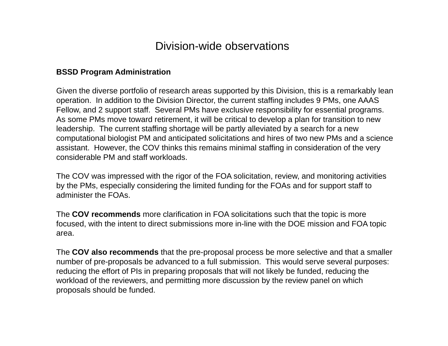#### **BSSD Program Administration**

Given the diverse portfolio of research areas supported by this Division, this is a remarkably lean operation. In addition to the Division Director, the current staffing includes 9 PMs, one AAAS Fellow, and 2 support staff. Several PMs have exclusive responsibility for essential programs. As some PMs move toward retirement, it will be critical to develop a plan for transition to new leadership. The current staffing shortage will be partly alleviated by a search for a new computational biologist PM and anticipated solicitations and hires of two new PMs and a science assistant. However, the COV thinks this remains minimal staffing in consideration of the very considerable PM and staff workloads.

The COV was impressed with the rigor of the FOA solicitation, review, and monitoring activities by the PMs, especially considering the limited funding for the FOAs and for support staff to administer the FOAs.

The **COV recommends** more clarification in FOA solicitations such that the topic is more focused, with the intent to direct submissions more in-line with the DOE mission and FOA topic area.

The **COV also recommends** that the pre-proposal process be more selective and that a smaller number of pre-proposals be advanced to a full submission. This would serve several purposes: reducing the effort of PIs in preparing proposals that will not likely be funded, reducing the workload of the reviewers, and permitting more discussion by the review panel on which proposals should be funded.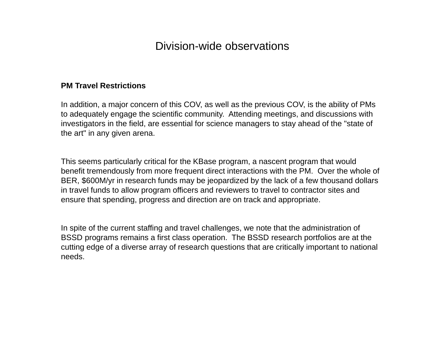#### **PM Travel Restrictions**

In addition, a major concern of this COV, as well as the previous COV, is the ability of PMs to adequately engage the scientific community. Attending meetings, and discussions with investigators in the field, are essential for science managers to stay ahead of the "state of the art" in any given arena.

This seems particularly critical for the KBase program, a nascent program that would benefit tremendously from more frequent direct interactions with the PM. Over the whole of BER, \$600M/yr in research funds may be jeopardized by the lack of a few thousand dollars in travel funds to allow program officers and reviewers to travel to contractor sites and ensure that spending, progress and direction are on track and appropriate.

In spite of the current staffing and travel challenges, we note that the administration of BSSD programs remains a first class operation. The BSSD research portfolios are at the cutting edge of a diverse array of research questions that are critically important to national needs.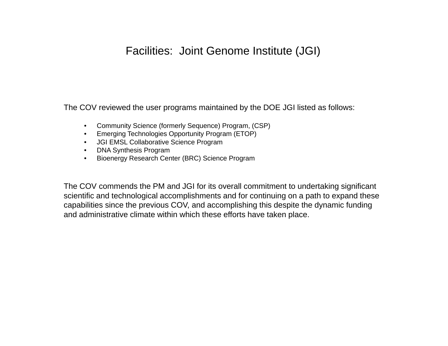# Facilities: Joint Genome Institute (JGI)

The COV reviewed the user programs maintained by the DOE JGI listed as follows:

- Community Science (formerly Sequence) Program, (CSP)
- Emerging Technologies Opportunity Program (ETOP)
- •JGI EMSL Collaborative Science Program
- DNA Synthesis Program
- $\bullet$ Bioenergy Research Center (BRC) Science Program

The COV commends the PM and JGI for its overall commitment to undertaking significant scientific and technological accomplishments and for continuing on a path to expand these capabilities since the previous COV, and accomplishing this despite the dynamic funding and administrative climate within which these efforts have taken place.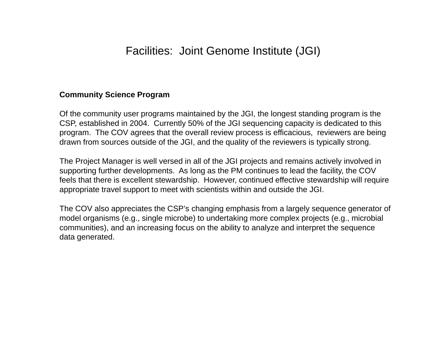#### **Community Science Program**

Of the community user programs maintained by the JGI, the longest standing program is the CSP, established in 2004. Currently 50% of the JGI sequencing capacity is dedicated to this program. The COV agrees that the overall review process is efficacious, reviewers are being drawn from sources outside of the JGI, and the quality of the reviewers is typically strong.

The Project Manager is well versed in all of the JGI projects and remains actively involved in supporting further developments. As long as the PM continues to lead the facility, the COV feels that there is excellent stewardship. However, continued effective stewardship will require appropriate travel support to meet with scientists within and outside the JGI.

The COV also appreciates the CSP's changing emphasis from a largely sequence generator of model organisms (e.g., single microbe) to undertaking more complex projects (e.g., microbial communities), and an increasing focus on the ability to analyze and interpret the sequence data generated.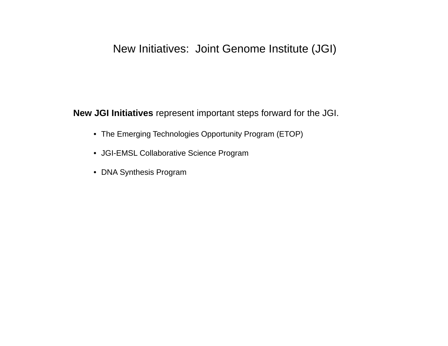### New Initiatives: Joint Genome Institute (JGI)

**New JGI Initiatives** represent important steps forward for the JGI.

- The Emerging Technologies Opportunity Program (ETOP)
- JGI-EMSL Collaborative Science Program
- DNA Synthesis Program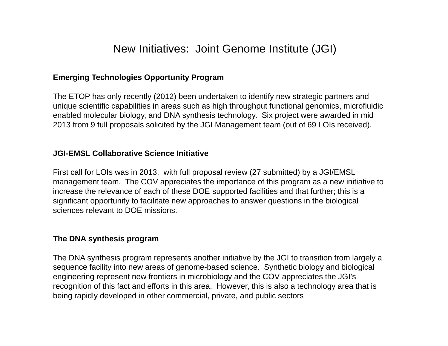### New Initiatives: Joint Genome Institute (JGI)

#### **Emerging Technologies Opportunity Program**

The ETOP has only recently (2012) been undertaken to identify new strategic partners and unique scientific capabilities in areas such as high throughput functional genomics, microfluidic enabled molecular biology, and DNA synthesis technology. Six project were awarded in mid 2013 from 9 full proposals solicited by the JGI Management team (out of 69 LOIs received).

#### **JGI-EMSL Collaborative Science Initiative**

First call for LOIs was in 2013, with full proposal review (27 submitted) by a JGI/EMSL management team. The COV appreciates the importance of this program as a new initiative to increase the relevance of each of these DOE supported facilities and that further; this is a significant opportunity to facilitate new approaches to answer questions in the biological sciences relevant to DOE missions.

#### **The DNA synthesis program**

The DNA synthesis program represents another initiative by the JGI to transition from largely a sequence facility into new areas of genome-based science. Synthetic biology and biological engineering represent new frontiers in microbiology and the COV appreciates the JGI's recognition of this fact and efforts in this area. However, this is also a technology area that is being rapidly developed in other commercial, private, and public sectors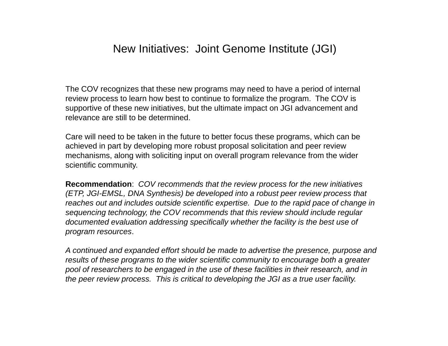#### New Initiatives: Joint Genome Institute (JGI)

The COV recognizes that these new programs may need to have a period of internal review process to learn how best to continue to formalize the program. The COV is supportive of these new initiatives, but the ultimate impact on JGI advancement and relevance are still to be determined.

Care will need to be taken in the future to better focus these programs, which can be achieved in part by developing more robust proposal solicitation and peer review mechanisms, along with soliciting input on overall program relevance from the wider scientific community.

**Recommendation**: *COV recommends that the review process for the new initiatives (ETP, JGI-EMSL, DNA Synthesis) be developed into a robust peer review process that reaches out and includes outside scientific expertise. Due to the rapid pace of change in sequencing technology, the COV recommends that this review should include regular documented evaluation addressing specifically whether the facility is the best use of program resources*.

*A continued and expanded effort should be made to advertise the presence, purpose and results of these programs to the wider scientific community to encourage both a greater pool of researchers to be engaged in the use of these facilities in their research, and in the peer review process. This is critical to developing the JGI as a true user facility.*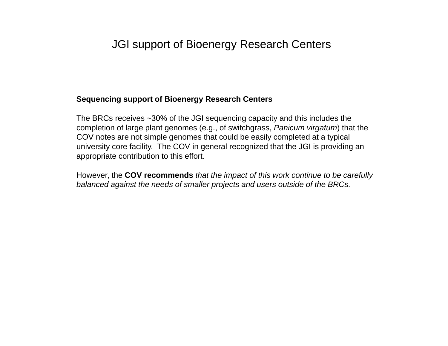# JGI support of Bioenergy Research Centers

#### **Sequencing support of Bioenergy Research Centers**

The BRCs receives ~30% of the JGI sequencing capacity and this includes the completion of large plant genomes (e.g., of switchgrass, *Panicum virgatum*) that the COV notes are not simple genomes that could be easily completed at a typical university core facility. The COV in general recognized that the JGI is providing an appropriate contribution to this effort.

However, the **COV recommends** *that the impact of this work continue to be carefully balanced against the needs of smaller projects and users outside of the BRCs.*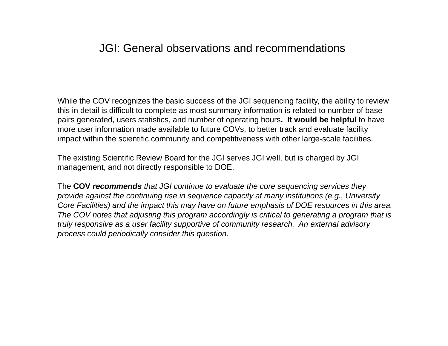### JGI: General observations and recommendations

While the COV recognizes the basic success of the JGI sequencing facility, the ability to review this in detail is difficult to complete as most summary information is related to number of base pairs generated, users statistics, and number of operating hours**. It would be helpful** to have more user information made available to future COVs, to better track and evaluate facility impact within the scientific community and competitiveness with other large-scale facilities.

The existing Scientific Review Board for the JGI serves JGI well, but is charged by JGI management, and not directly responsible to DOE.

The **COV** *recommends that JGI continue to evaluate the core sequencing services they provide against the continuing rise in sequence capacity at many institutions (e.g., University Core Facilities) and the impact this may have on future emphasis of DOE resources in this area. The COV notes that adjusting this program accordingly is critical to generating a program that is truly responsive as a user facility supportive of community research. An external advisory process could periodically consider this question.*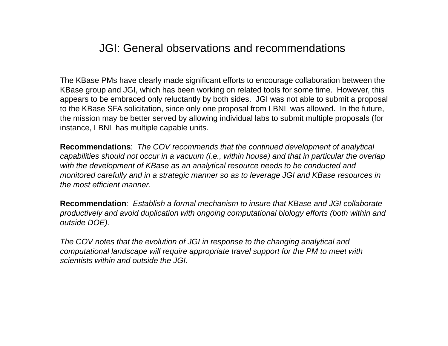## JGI: General observations and recommendations

The KBase PMs have clearly made significant efforts to encourage collaboration between the KBase group and JGI, which has been working on related tools for some time. However, this appears to be embraced only reluctantly by both sides. JGI was not able to submit a proposal to the KBase SFA solicitation, since only one proposal from LBNL was allowed. In the future, the mission may be better served by allowing individual labs to submit multiple proposals (for instance, LBNL has multiple capable units.

**Recommendations**: *The COV recommends that the continued development of analytical capabilities should not occur in a vacuum (i.e., within house) and that in particular the overlap with the development of KBase as an analytical resource needs to be conducted and monitored carefully and in a strategic manner so as to leverage JGI and KBase resources in the most efficient manner.*

**Recommendation***: Establish a formal mechanism to insure that KBase and JGI collaborate productively and avoid duplication with ongoing computational biology efforts (both within and outside DOE).*

*The COV notes that the evolution of JGI in response to the changing analytical and computational landscape will require appropriate travel support for the PM to meet with scientists within and outside the JGI.*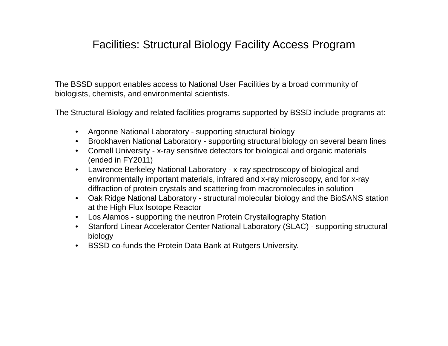# Facilities: Structural Biology Facility Access Program

The BSSD support enables access to National User Facilities by a broad community of biologists, chemists, and environmental scientists.

The Structural Biology and related facilities programs supported by BSSD include programs at:

- $\bullet$ Argonne National Laboratory - supporting structural biology
- Brookhaven National Laboratory supporting structural biology on several beam lines
- Cornell University x-ray sensitive detectors for biological and organic materials (ended in FY2011)
- $\bullet$  Lawrence Berkeley National Laboratory - x-ray spectroscopy of biological and environmentally important materials, infrared and x-ray microscopy, and for x-ray diffraction of protein crystals and scattering from macromolecules in solution
- Oak Ridge National Laboratory structural molecular biology and the BioSANS station at the High Flux Isotope Reactor
- $\bullet$ Los Alamos - supporting the neutron Protein Crystallography Station
- • Stanford Linear Accelerator Center National Laboratory (SLAC) - supporting structural biology
- $\bullet$ BSSD co-funds the Protein Data Bank at Rutgers University.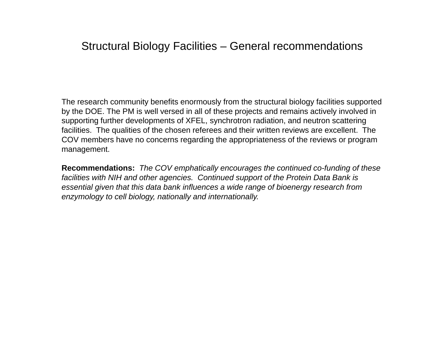# Structural Biology Facilities – General recommendations

The research community benefits enormously from the structural biology facilities supported by the DOE. The PM is well versed in all of these projects and remains actively involved in supporting further developments of XFEL, synchrotron radiation, and neutron scattering facilities. The qualities of the chosen referees and their written reviews are excellent. The COV members have no concerns regarding the appropriateness of the reviews or program management.

**Recommendations:** *The COV emphatically encourages the continued co-funding of these facilities with NIH and other agencies. Continued support of the Protein Data Bank is essential given that this data bank influences a wide range of bioenergy research from enzymology to cell biology, nationally and internationally.*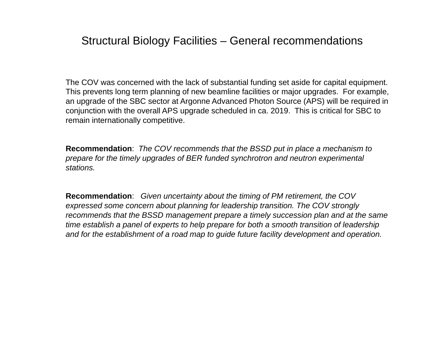## Structural Biology Facilities – General recommendations

The COV was concerned with the lack of substantial funding set aside for capital equipment. This prevents long term planning of new beamline facilities or major upgrades. For example, an upgrade of the SBC sector at Argonne Advanced Photon Source (APS) will be required in conjunction with the overall APS upgrade scheduled in ca. 2019. This is critical for SBC to remain internationally competitive.

**Recommendation**: *The COV recommends that the BSSD put in place a mechanism to prepare for the timely upgrades of BER funded synchrotron and neutron experimental stations.*

**Recommendation**: *Given uncertainty about the timing of PM retirement, the COV expressed some concern about planning for leadership transition. The COV strongly recommends that the BSSD management prepare a timely succession plan and at the same time establish a panel of experts to help prepare for both a smooth transition of leadership and for the establishment of a road map to guide future facility development and operation.*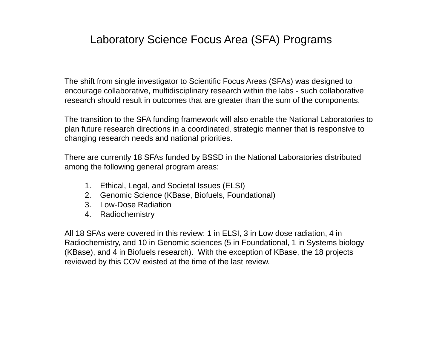# Laboratory Science Focus Area (SFA) Programs

The shift from single investigator to Scientific Focus Areas (SFAs) was designed to encourage collaborative, multidisciplinary research within the labs - such collaborative research should result in outcomes that are greater than the sum of the components.

The transition to the SFA funding framework will also enable the National Laboratories to plan future research directions in a coordinated, strategic manner that is responsive to changing research needs and national priorities.

There are currently 18 SFAs funded by BSSD in the National Laboratories distributed among the following general program areas:

- 1. Ethical, Legal, and Societal Issues (ELSI)
- 2. Genomic Science (KBase, Biofuels, Foundational)
- 3. Low-Dose Radiation
- 4. Radiochemistry

All 18 SFAs were covered in this review: 1 in ELSI, 3 in Low dose radiation, 4 in Radiochemistry, and 10 in Genomic sciences (5 in Foundational, 1 in Systems biology (KBase), and 4 in Biofuels research). With the exception of KBase, the 18 projects reviewed by this COV existed at the time of the last review.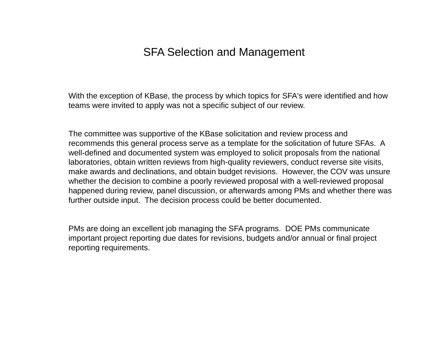### SFA Selection and Management

With the exception of KBase, the process by which topics for SFA's were identified and how teams were invited to apply was not a specific subject of our review.

The committee was supportive of the KBase solicitation and review process and recommends this general process serve as a template for the solicitation of future SFAs. A well-defined and documented system was employed to solicit proposals from the national laboratories, obtain written reviews from high-quality reviewers, conduct reverse site visits, make awards and declinations, and obtain budget revisions. However, the COV was unsure whether the decision to combine a poorly reviewed proposal with a well-reviewed proposal happened during review, panel discussion, or afterwards among PMs and whether there was further outside input. The decision process could be better documented.

PMs are doing an excellent job managing the SFA programs. DOE PMs communicate important project reporting due dates for revisions, budgets and/or annual or final project reporting requirements.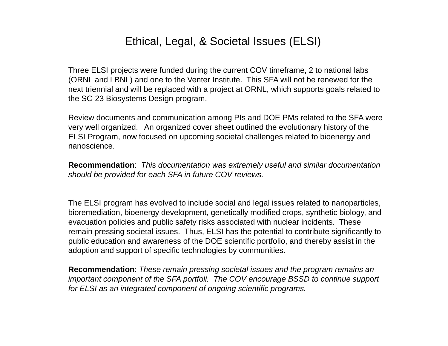# Ethical, Legal, & Societal Issues (ELSI)

Three ELSI projects were funded during the current COV timeframe, 2 to national labs (ORNL and LBNL) and one to the Venter Institute. This SFA will not be renewed for the next triennial and will be replaced with a project at ORNL, which supports goals related to the SC-23 Biosystems Design program.

Review documents and communication among PIs and DOE PMs related to the SFA were very well organized. An organized cover sheet outlined the evolutionary history of the ELSI Program, now focused on upcoming societal challenges related to bioenergy and nanoscience.

**Recommendation**: *This documentation was extremely useful and similar documentation should be provided for each SFA in future COV reviews.*

The ELSI program has evolved to include social and legal issues related to nanoparticles, bioremediation, bioenergy development, genetically modified crops, synthetic biology, and evacuation policies and public safety risks associated with nuclear incidents. These remain pressing societal issues. Thus, ELSI has the potential to contribute significantly to public education and awareness of the DOE scientific portfolio, and thereby assist in the adoption and support of specific technologies by communities.

**Recommendation**: *These remain pressing societal issues and the program remains an important component of the SFA portfoli. The COV encourage BSSD to continue support for ELSI as an integrated component of ongoing scientific programs.*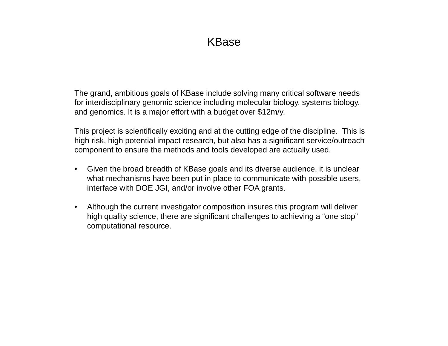# KBase

The grand, ambitious goals of KBase include solving many critical software needs for interdisciplinary genomic science including molecular biology, systems biology, and genomics. It is a major effort with a budget over \$12m/y.

This project is scientifically exciting and at the cutting edge of the discipline. This is high risk, high potential impact research, but also has a significant service/outreach component to ensure the methods and tools developed are actually used.

- $\bullet$  Given the broad breadth of KBase goals and its diverse audience, it is unclear what mechanisms have been put in place to communicate with possible users, interface with DOE JGI, and/or involve other FOA grants.
- $\bullet$  Although the current investigator composition insures this program will deliver high quality science, there are significant challenges to achieving a "one stop" computational resource.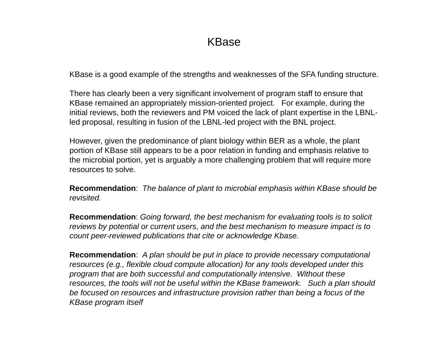## KBase

KBase is a good example of the strengths and weaknesses of the SFA funding structure.

There has clearly been a very significant involvement of program staff to ensure that KBase remained an appropriately mission-oriented project. For example, during the initial reviews, both the reviewers and PM voiced the lack of plant expertise in the LBNLled proposal, resulting in fusion of the LBNL-led project with the BNL project.

However, given the predominance of plant biology within BER as a whole, the plant portion of KBase still appears to be a poor relation in funding and emphasis relative to the microbial portion, yet is arguably a more challenging problem that will require more resources to solve.

**Recommendation**: *The balance of plant to microbial emphasis within KBase should be revisited.*

**Recommendation**: *Going forward, the best mechanism for evaluating tools is to solicit reviews by potential or current users, and the best mechanism to measure impact is to count peer-reviewed publications that cite or acknowledge Kbase.*

**Recommendation**: *A plan should be put in place to provide necessary computational resources (e.g., flexible cloud compute allocation) for any tools developed under this program that are both successful and computationally intensive. Without these resources, the tools will not be useful within the KBase framework. Such a plan should be focused on resources and infrastructure provision rather than being a focus of the KBase program itself*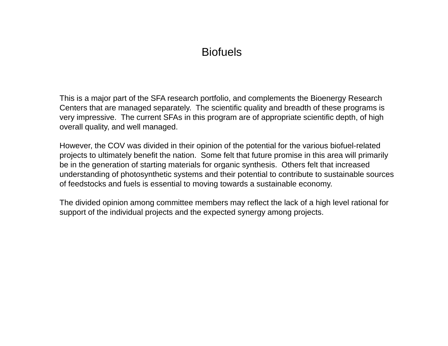# **Biofuels**

This is a major part of the SFA research portfolio, and complements the Bioenergy Research Centers that are managed separately. The scientific quality and breadth of these programs is very impressive. The current SFAs in this program are of appropriate scientific depth, of high overall quality, and well managed.

However, the COV was divided in their opinion of the potential for the various biofuel-related projects to ultimately benefit the nation. Some felt that future promise in this area will primarily be in the generation of starting materials for organic synthesis. Others felt that increased understanding of photosynthetic systems and their potential to contribute to sustainable sources of feedstocks and fuels is essential to moving towards a sustainable economy.

The divided opinion among committee members may reflect the lack of a high level rational for support of the individual projects and the expected synergy among projects.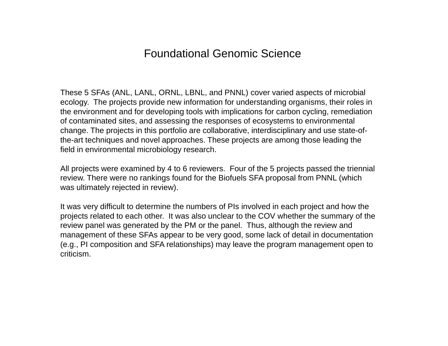# Foundational Genomic Science

These 5 SFAs (ANL, LANL, ORNL, LBNL, and PNNL) cover varied aspects of microbial ecology. The projects provide new information for understanding organisms, their roles in the environment and for developing tools with implications for carbon cycling, remediation of contaminated sites, and assessing the responses of ecosystems to environmental change. The projects in this portfolio are collaborative, interdisciplinary and use state-ofthe-art techniques and novel approaches. These projects are among those leading the field in environmental microbiology research.

All projects were examined by 4 to 6 reviewers. Four of the 5 projects passed the triennial review. There were no rankings found for the Biofuels SFA proposal from PNNL (which was ultimately rejected in review).

It was very difficult to determine the numbers of PIs involved in each project and how the projects related to each other. It was also unclear to the COV whether the summary of the review panel was generated by the PM or the panel. Thus, although the review and management of these SFAs appear to be very good, some lack of detail in documentation (e.g., PI composition and SFA relationships) may leave the program management open to criticism.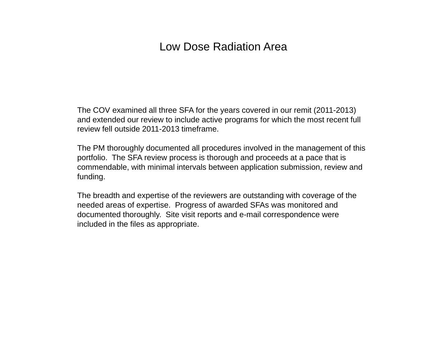# Low Dose Radiation Area

The COV examined all three SFA for the years covered in our remit (2011-2013) and extended our review to include active programs for which the most recent full review fell outside 2011-2013 timeframe.

The PM thoroughly documented all procedures involved in the management of this portfolio. The SFA review process is thorough and proceeds at a pace that is commendable, with minimal intervals between application submission, review and funding.

The breadth and expertise of the reviewers are outstanding with coverage of the needed areas of expertise. Progress of awarded SFAs was monitored and documented thoroughly. Site visit reports and e-mail correspondence were included in the files as appropriate.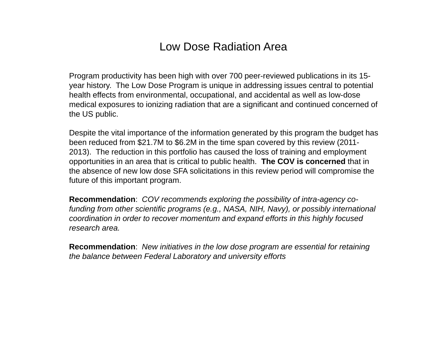# Low Dose Radiation Area

Program productivity has been high with over 700 peer-reviewed publications in its 15 year history. The Low Dose Program is unique in addressing issues central to potential health effects from environmental, occupational, and accidental as well as low-dose medical exposures to ionizing radiation that are a significant and continued concerned of the US public.

Despite the vital importance of the information generated by this program the budget has been reduced from \$21.7M to \$6.2M in the time span covered by this review (2011- 2013). The reduction in this portfolio has caused the loss of training and employment opportunities in an area that is critical to public health. **The COV is concerned** that in the absence of new low dose SFA solicitations in this review period will compromise the future of this important program.

**Recommendation**: *COV recommends exploring the possibility of intra-agency cofunding from other scientific programs (e.g., NASA, NIH, Navy), or possibly international coordination in order to recover momentum and expand efforts in this highly focused research area.*

**Recommendation**: *New initiatives in the low dose program are essential for retaining the balance between Federal Laboratory and university efforts*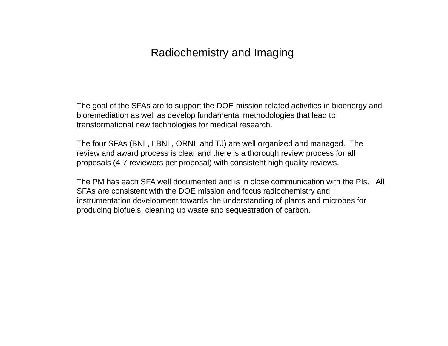## Radiochemistry and Imaging

The goal of the SFAs are to support the DOE mission related activities in bioenergy and bioremediation as well as develop fundamental methodologies that lead to transformational new technologies for medical research.

The four SFAs (BNL, LBNL, ORNL and TJ) are well organized and managed. The review and award process is clear and there is a thorough review process for all proposals (4-7 reviewers per proposal) with consistent high quality reviews.

The PM has each SFA well documented and is in close communication with the PIs. All SFAs are consistent with the DOE mission and focus radiochemistry and instrumentation development towards the understanding of plants and microbes for producing biofuels, cleaning up waste and sequestration of carbon.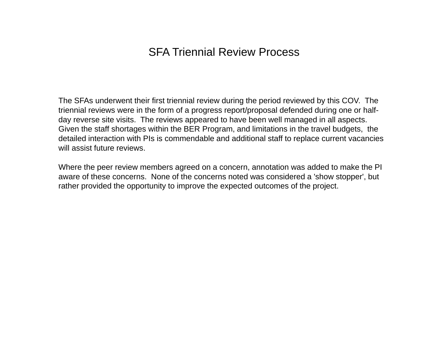# SFA Triennial Review Process

The SFAs underwent their first triennial review during the period reviewed by this COV. The triennial reviews were in the form of a progress report/proposal defended during one or halfday reverse site visits. The reviews appeared to have been well managed in all aspects. Given the staff shortages within the BER Program, and limitations in the travel budgets, the detailed interaction with PIs is commendable and additional staff to replace current vacancies will assist future reviews.

Where the peer review members agreed on a concern, annotation was added to make the PI aware of these concerns. None of the concerns noted was considered a 'show stopper', but rather provided the opportunity to improve the expected outcomes of the project.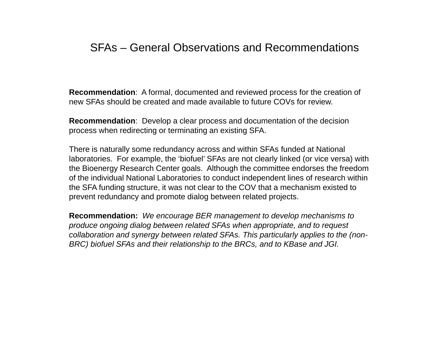### SFAs – General Observations and Recommendations

**Recommendation**: A formal, documented and reviewed process for the creation of new SFAs should be created and made available to future COVs for review.

**Recommendation**: Develop a clear process and documentation of the decision process when redirecting or terminating an existing SFA.

There is naturally some redundancy across and within SFAs funded at National laboratories. For example, the 'biofuel' SFAs are not clearly linked (or vice versa) with the Bioenergy Research Center goals. Although the committee endorses the freedom of the individual National Laboratories to conduct independent lines of research within the SFA funding structure, it was not clear to the COV that a mechanism existed to prevent redundancy and promote dialog between related projects.

**Recommendation:** *We encourage BER management to develop mechanisms to produce ongoing dialog between related SFAs when appropriate, and to request collaboration and synergy between related SFAs. This particularly applies to the (non-BRC) biofuel SFAs and their relationship to the BRCs, and to KBase and JGI.*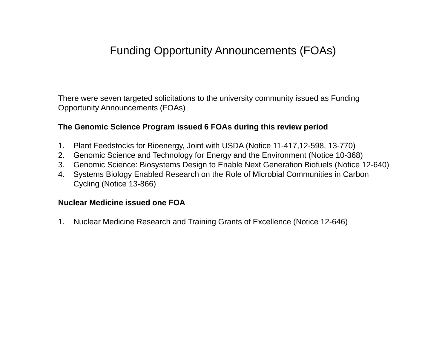# Funding Opportunity Announcements (FOAs)

There were seven targeted solicitations to the university community issued as Funding Opportunity Announcements (FOAs)

#### **The Genomic Science Program issued 6 FOAs during this review period**

- 1. Plant Feedstocks for Bioenergy, Joint with USDA (Notice 11-417,12-598, 13-770)
- 2. Genomic Science and Technology for Energy and the Environment (Notice 10-368)
- 3. Genomic Science: Biosystems Design to Enable Next Generation Biofuels (Notice 12-640)
- 4. Systems Biology Enabled Research on the Role of Microbial Communities in Carbon Cycling (Notice 13-866)

#### **Nuclear Medicine issued one FOA**

1. Nuclear Medicine Research and Training Grants of Excellence (Notice 12-646)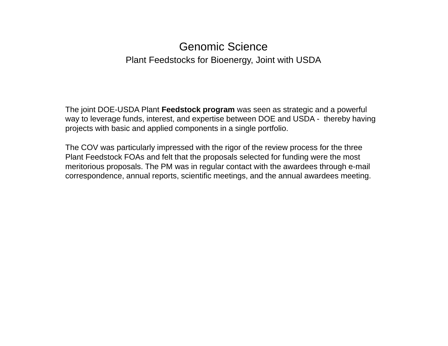#### Genomic SciencePlant Feedstocks for Bioenergy, Joint with USDA

The joint DOE-USDA Plant **Feedstock program** was seen as strategic and a powerful way to leverage funds, interest, and expertise between DOE and USDA - thereby having projects with basic and applied components in a single portfolio.

The COV was particularly impressed with the rigor of the review process for the three Plant Feedstock FOAs and felt that the proposals selected for funding were the most meritorious proposals. The PM was in regular contact with the awardees through e-mail correspondence, annual reports, scientific meetings, and the annual awardees meeting.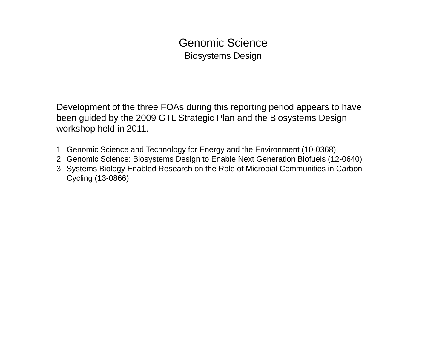# Genomic ScienceBiosystems Design

Development of the three FOAs during this reporting period appears to have been guided by the 2009 GTL Strategic Plan and the Biosystems Design workshop held in 2011.

- 1. Genomic Science and Technology for Energy and the Environment (10-0368)
- 2. Genomic Science: Biosystems Design to Enable Next Generation Biofuels (12-0640)
- 3. Systems Biology Enabled Research on the Role of Microbial Communities in Carbon Cycling (13-0866)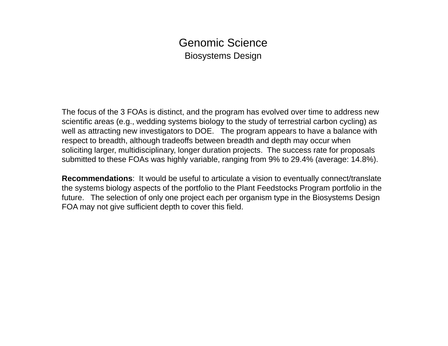### Genomic ScienceBiosystems Design

The focus of the 3 FOAs is distinct, and the program has evolved over time to address new scientific areas (e.g., wedding systems biology to the study of terrestrial carbon cycling) as well as attracting new investigators to DOE. The program appears to have a balance with respect to breadth, although tradeoffs between breadth and depth may occur when soliciting larger, multidisciplinary, longer duration projects. The success rate for proposals submitted to these FOAs was highly variable, ranging from 9% to 29.4% (average: 14.8%).

**Recommendations**: It would be useful to articulate a vision to eventually connect/translate the systems biology aspects of the portfolio to the Plant Feedstocks Program portfolio in the future. The selection of only one project each per organism type in the Biosystems Design FOA may not give sufficient depth to cover this field.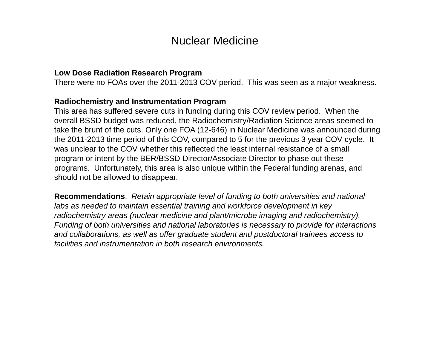#### Nuclear Medicine

#### **Low Dose Radiation Research Program**

There were no FOAs over the 2011-2013 COV period. This was seen as a major weakness.

#### **Radiochemistry and Instrumentation Program**

This area has suffered severe cuts in funding during this COV review period. When the overall BSSD budget was reduced, the Radiochemistry/Radiation Science areas seemed to take the brunt of the cuts. Only one FOA (12-646) in Nuclear Medicine was announced during the 2011-2013 time period of this COV, compared to 5 for the previous 3 year COV cycle. It was unclear to the COV whether this reflected the least internal resistance of a small program or intent by the BER/BSSD Director/Associate Director to phase out these programs. Unfortunately, this area is also unique within the Federal funding arenas, and should not be allowed to disappear.

**Recommendations**. *Retain appropriate level of funding to both universities and national labs as needed to maintain essential training and workforce development in key radiochemistry areas (nuclear medicine and plant/microbe imaging and radiochemistry). Funding of both universities and national laboratories is necessary to provide for interactions and collaborations, as well as offer graduate student and postdoctoral trainees access to facilities and instrumentation in both research environments.*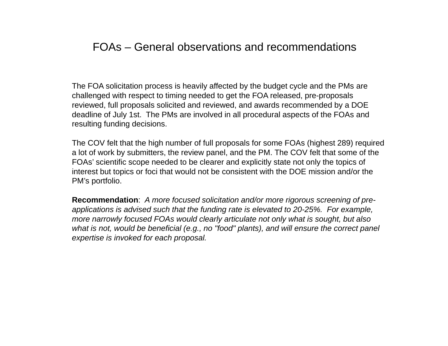# FOAs – General observations and recommendations

The FOA solicitation process is heavily affected by the budget cycle and the PMs are challenged with respect to timing needed to get the FOA released, pre-proposals reviewed, full proposals solicited and reviewed, and awards recommended by a DOE deadline of July 1st. The PMs are involved in all procedural aspects of the FOAs and resulting funding decisions.

The COV felt that the high number of full proposals for some FOAs (highest 289) required a lot of work by submitters, the review panel, and the PM. The COV felt that some of the FOAs' scientific scope needed to be clearer and explicitly state not only the topics of interest but topics or foci that would not be consistent with the DOE mission and/or the PM's portfolio.

**Recommendation**: *A more focused solicitation and/or more rigorous screening of preapplications is advised such that the funding rate is elevated to 20-25%. For example, more narrowly focused FOAs would clearly articulate not only what is sought, but also what is not, would be beneficial (e.g., no "food" plants), and will ensure the correct panel expertise is invoked for each proposal.*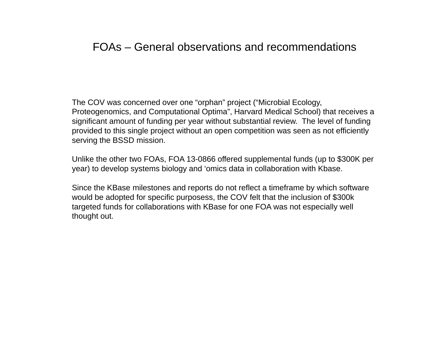# FOAs – General observations and recommendations

The COV was concerned over one "orphan" project ("Microbial Ecology, Proteogenomics, and Computational Optima", Harvard Medical School) that receives a significant amount of funding per year without substantial review. The level of funding provided to this single project without an open competition was seen as not efficiently serving the BSSD mission.

Unlike the other two FOAs, FOA 13-0866 offered supplemental funds (up to \$300K per year) to develop systems biology and 'omics data in collaboration with Kbase.

Since the KBase milestones and reports do not reflect a timeframe by which software would be adopted for specific purposess, the COV felt that the inclusion of \$300k targeted funds for collaborations with KBase for one FOA was not especially well thought out.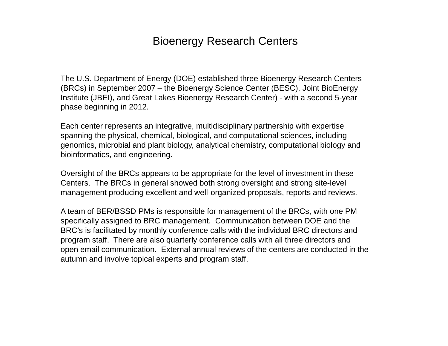### Bioenergy Research Centers

The U.S. Department of Energy (DOE) established three Bioenergy Research Centers (BRCs) in September 2007 – the Bioenergy Science Center (BESC), Joint BioEnergy Institute (JBEI), and Great Lakes Bioenergy Research Center) - with a second 5-year phase beginning in 2012.

Each center represents an integrative, multidisciplinary partnership with expertise spanning the physical, chemical, biological, and computational sciences, including genomics, microbial and plant biology, analytical chemistry, computational biology and bioinformatics, and engineering.

Oversight of the BRCs appears to be appropriate for the level of investment in these Centers. The BRCs in general showed both strong oversight and strong site-level management producing excellent and well-organized proposals, reports and reviews.

A team of BER/BSSD PMs is responsible for management of the BRCs, with one PM specifically assigned to BRC management. Communication between DOE and the BRC's is facilitated by monthly conference calls with the individual BRC directors and program staff. There are also quarterly conference calls with all three directors and open email communication. External annual reviews of the centers are conducted in the autumn and involve topical experts and program staff.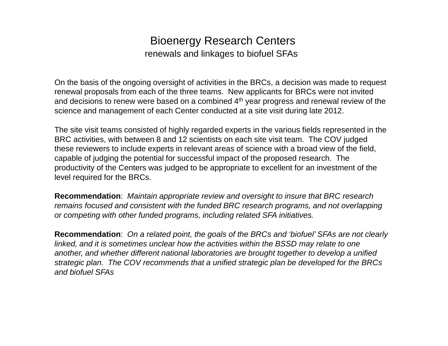## Bioenergy Research Centers renewals and linkages to biofuel SFAs

On the basis of the ongoing oversight of activities in the BRCs, a decision was made to request renewal proposals from each of the three teams. New applicants for BRCs were not invited and decisions to renew were based on a combined  $4<sup>th</sup>$  year progress and renewal review of the science and management of each Center conducted at a site visit during late 2012.

The site visit teams consisted of highly regarded experts in the various fields represented in the BRC activities, with between 8 and 12 scientists on each site visit team. The COV judged these reviewers to include experts in relevant areas of science with a broad view of the field, capable of judging the potential for successful impact of the proposed research. The productivity of the Centers was judged to be appropriate to excellent for an investment of the level required for the BRCs.

**Recommendation**: *Maintain appropriate review and oversight to insure that BRC research remains focused and consistent with the funded BRC research programs, and not overlapping or competing with other funded programs, including related SFA initiatives.*

**Recommendation**: *On a related point, the goals of the BRCs and 'biofuel' SFAs are not clearly linked, and it is sometimes unclear how the activities within the BSSD may relate to one another, and whether different national laboratories are brought together to develop a unified strategic plan. The COV recommends that a unified strategic plan be developed for the BRCs and biofuel SFAs*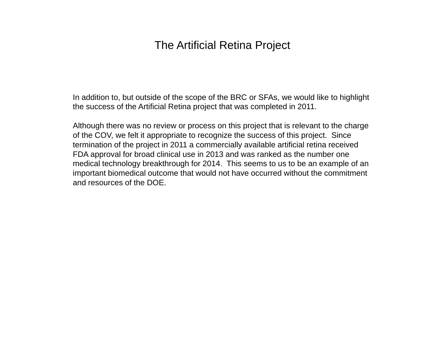# The Artificial Retina Project

In addition to, but outside of the scope of the BRC or SFAs, we would like to highlight the success of the Artificial Retina project that was completed in 2011.

Although there was no review or process on this project that is relevant to the charge of the COV, we felt it appropriate to recognize the success of this project. Since termination of the project in 2011 a commercially available artificial retina received FDA approval for broad clinical use in 2013 and was ranked as the number one medical technology breakthrough for 2014. This seems to us to be an example of an important biomedical outcome that would not have occurred without the commitment and resources of the DOE.